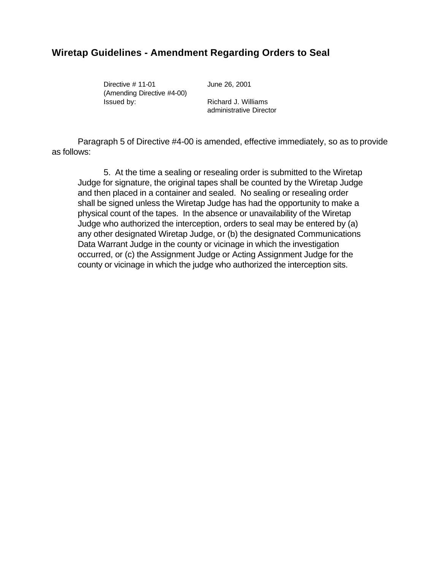## **Wiretap Guidelines - Amendment Regarding Orders to Seal**

Directive # 11-01 June 26, 2001 (Amending Directive #4-00) Issued by: Richard J. Williams

administrative Director

Paragraph 5 of Directive #4-00 is amended, effective immediately, so as to provide as follows:

5. At the time a sealing or resealing order is submitted to the Wiretap Judge for signature, the original tapes shall be counted by the Wiretap Judge and then placed in a container and sealed. No sealing or resealing order shall be signed unless the Wiretap Judge has had the opportunity to make a physical count of the tapes. In the absence or unavailability of the Wiretap Judge who authorized the interception, orders to seal may be entered by (a) any other designated Wiretap Judge, or (b) the designated Communications Data Warrant Judge in the county or vicinage in which the investigation occurred, or (c) the Assignment Judge or Acting Assignment Judge for the county or vicinage in which the judge who authorized the interception sits.